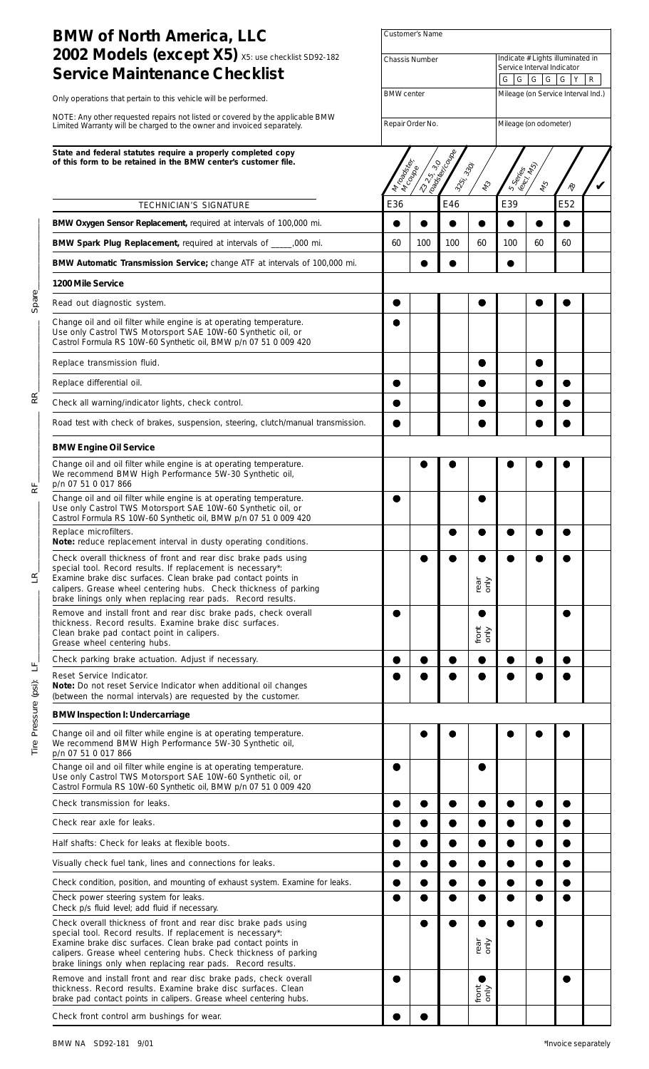| <b>BMW of North America, LLC</b>                                                                                                                                                                                                                                                                                                      | <b>Customer's Name</b>                     |            |                             |                            |                        |                                                                                           |                                    |  |  |  |
|---------------------------------------------------------------------------------------------------------------------------------------------------------------------------------------------------------------------------------------------------------------------------------------------------------------------------------------|--------------------------------------------|------------|-----------------------------|----------------------------|------------------------|-------------------------------------------------------------------------------------------|------------------------------------|--|--|--|
| 2002 Models (except X5) X5: use checklist SD92-182<br><b>Service Maintenance Checklist</b>                                                                                                                                                                                                                                            | <b>Chassis Number</b><br><b>BMW</b> center |            |                             |                            |                        | Indicate # Lights illuminated in<br>Service Interval Indicator<br>G G G G<br>$G$ $Y$<br>R |                                    |  |  |  |
| Only operations that pertain to this vehicle will be performed.                                                                                                                                                                                                                                                                       |                                            |            |                             |                            |                        |                                                                                           | Mileage (on Service Interval Ind.) |  |  |  |
| NOTE: Any other requested repairs not listed or covered by the applicable BMW<br>Limited Warranty will be charged to the owner and invoiced separately.                                                                                                                                                                               | Repair Order No.                           |            |                             |                            | Mileage (on odometer)  |                                                                                           |                                    |  |  |  |
| State and federal statutes require a properly completed copy<br>of this form to be retained in the BMW center's customer file.                                                                                                                                                                                                        | I My Banklin                               | IN COLLECT | 23-25.30 Maple<br>3251.3301 | $\ell_2$                   | S Series<br>(excl. les | 145                                                                                       |                                    |  |  |  |
| TECHNICIAN'S SIGNATURE                                                                                                                                                                                                                                                                                                                | E36                                        |            | E46                         |                            | E39                    |                                                                                           | $\hat{\mathcal{R}}$<br>E52         |  |  |  |
| BMW Oxygen Sensor Replacement, required at intervals of 100,000 mi.                                                                                                                                                                                                                                                                   | 0                                          | $\bullet$  |                             | $\bullet$                  |                        |                                                                                           |                                    |  |  |  |
| BMW Spark Plug Replacement, required at intervals of ______,000 mi.                                                                                                                                                                                                                                                                   | 60                                         | 100        | 100                         | 60                         | 100                    | 60                                                                                        | 60                                 |  |  |  |
| BMW Automatic Transmission Service; change ATF at intervals of 100,000 mi.                                                                                                                                                                                                                                                            |                                            |            |                             |                            |                        |                                                                                           |                                    |  |  |  |
| 1200 Mile Service                                                                                                                                                                                                                                                                                                                     |                                            |            |                             |                            |                        |                                                                                           |                                    |  |  |  |
| Read out diagnostic system.                                                                                                                                                                                                                                                                                                           |                                            |            |                             |                            |                        |                                                                                           |                                    |  |  |  |
| Change oil and oil filter while engine is at operating temperature.<br>Use only Castrol TWS Motorsport SAE 10W-60 Synthetic oil, or<br>Castrol Formula RS 10W-60 Synthetic oil, BMW p/n 07 51 0 009 420                                                                                                                               |                                            |            |                             |                            |                        |                                                                                           |                                    |  |  |  |
| Replace transmission fluid.                                                                                                                                                                                                                                                                                                           |                                            |            |                             |                            |                        |                                                                                           |                                    |  |  |  |
| Replace differential oil.                                                                                                                                                                                                                                                                                                             |                                            |            |                             |                            |                        |                                                                                           |                                    |  |  |  |
| Check all warning/indicator lights, check control.                                                                                                                                                                                                                                                                                    |                                            |            |                             |                            |                        |                                                                                           |                                    |  |  |  |
| Road test with check of brakes, suspension, steering, clutch/manual transmission.                                                                                                                                                                                                                                                     |                                            |            |                             |                            |                        |                                                                                           |                                    |  |  |  |
| <b>BMW Engine Oil Service</b>                                                                                                                                                                                                                                                                                                         |                                            |            |                             |                            |                        |                                                                                           |                                    |  |  |  |
| Change oil and oil filter while engine is at operating temperature.<br>We recommend BMW High Performance 5W-30 Synthetic oil,<br>p/n 07 51 0 017 866                                                                                                                                                                                  |                                            |            |                             |                            |                        |                                                                                           |                                    |  |  |  |
| Change oil and oil filter while engine is at operating temperature.<br>Use only Castrol TWS Motorsport SAE 10W-60 Synthetic oil, or<br>Castrol Formula RS 10W-60 Synthetic oil, BMW p/n 07 51 0 009 420                                                                                                                               |                                            |            |                             |                            |                        |                                                                                           |                                    |  |  |  |
| Replace microfilters.<br>Note: reduce replacement interval in dusty operating conditions.                                                                                                                                                                                                                                             |                                            |            |                             |                            |                        |                                                                                           |                                    |  |  |  |
| Check overall thickness of front and rear disc brake pads using<br>special tool. Record results. If replacement is necessary*:<br>Examine brake disc surfaces. Clean brake pad contact points in<br>calipers. Grease wheel centering hubs. Check thickness of parking<br>brake linings only when replacing rear pads. Record results. |                                            |            |                             | rear<br>only               |                        |                                                                                           |                                    |  |  |  |
| Remove and install front and rear disc brake pads, check overall<br>thickness. Record results. Examine brake disc surfaces.<br>Clean brake pad contact point in calipers.<br>Grease wheel centering hubs.                                                                                                                             |                                            |            |                             | $\bullet$<br>front<br>only |                        |                                                                                           |                                    |  |  |  |
| Check parking brake actuation. Adjust if necessary.                                                                                                                                                                                                                                                                                   |                                            |            |                             |                            |                        |                                                                                           |                                    |  |  |  |
| Reset Service Indicator.<br>Note: Do not reset Service Indicator when additional oil changes<br>(between the normal intervals) are requested by the customer.                                                                                                                                                                         |                                            |            |                             |                            |                        |                                                                                           |                                    |  |  |  |
| <b>BMW Inspection I: Undercarriage</b>                                                                                                                                                                                                                                                                                                |                                            |            |                             |                            |                        |                                                                                           |                                    |  |  |  |
| Change oil and oil filter while engine is at operating temperature.<br>We recommend BMW High Performance 5W-30 Synthetic oil,<br>p/n 07 51 0 017 866                                                                                                                                                                                  |                                            |            |                             |                            |                        |                                                                                           |                                    |  |  |  |
| Change oil and oil filter while engine is at operating temperature.<br>Use only Castrol TWS Motorsport SAE 10W-60 Synthetic oil, or<br>Castrol Formula RS 10W-60 Synthetic oil, BMW p/n 07 51 0 009 420                                                                                                                               |                                            |            |                             |                            |                        |                                                                                           |                                    |  |  |  |
| Check transmission for leaks.                                                                                                                                                                                                                                                                                                         |                                            |            |                             |                            |                        |                                                                                           |                                    |  |  |  |
| Check rear axle for leaks.                                                                                                                                                                                                                                                                                                            |                                            |            |                             |                            |                        |                                                                                           |                                    |  |  |  |
| Half shafts: Check for leaks at flexible boots.                                                                                                                                                                                                                                                                                       |                                            |            |                             |                            |                        |                                                                                           |                                    |  |  |  |
| Visually check fuel tank, lines and connections for leaks.                                                                                                                                                                                                                                                                            |                                            |            |                             |                            |                        |                                                                                           |                                    |  |  |  |
| Check condition, position, and mounting of exhaust system. Examine for leaks.                                                                                                                                                                                                                                                         |                                            |            |                             |                            |                        |                                                                                           |                                    |  |  |  |
| Check power steering system for leaks.<br>Check p/s fluid level; add fluid if necessary.                                                                                                                                                                                                                                              |                                            |            |                             |                            |                        |                                                                                           |                                    |  |  |  |
| Check overall thickness of front and rear disc brake pads using<br>special tool. Record results. If replacement is necessary*:<br>Examine brake disc surfaces. Clean brake pad contact points in<br>calipers. Grease wheel centering hubs. Check thickness of parking<br>brake linings only when replacing rear pads. Record results. |                                            |            |                             | rear<br>only               |                        |                                                                                           |                                    |  |  |  |
| Remove and install front and rear disc brake pads, check overall<br>thickness. Record results. Examine brake disc surfaces. Clean<br>brake pad contact points in calipers. Grease wheel centering hubs.                                                                                                                               |                                            |            |                             | $\frac{1}{2}$              |                        |                                                                                           |                                    |  |  |  |
| Check front control arm bushings for wear.                                                                                                                                                                                                                                                                                            |                                            |            |                             |                            |                        |                                                                                           |                                    |  |  |  |

Tire Pressure (psi): LF\_\_\_\_\_\_\_\_\_\_\_\_\_\_\_\_ LR\_\_\_\_\_\_\_\_\_\_\_\_\_\_\_\_ RF\_\_\_\_\_\_\_\_\_\_\_\_\_\_\_\_ RR\_\_\_\_\_\_\_\_\_\_\_\_\_\_\_\_ Spare\_\_\_\_\_\_\_\_\_\_\_\_\_\_\_\_

눈

 $\mathbf{z}^{\prime}$ 

Tire Pressure (psi): LF\_

 $R_{I}$ 

Spare\_